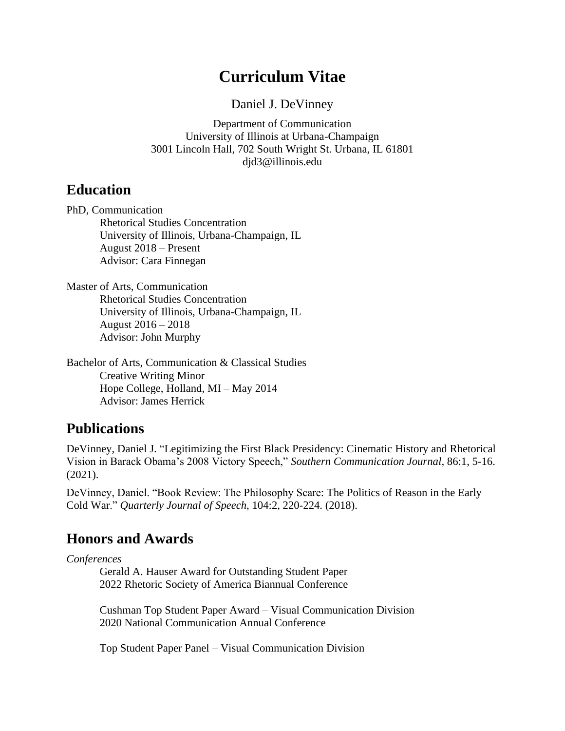# **Curriculum Vitae**

Daniel J. DeVinney

Department of Communication University of Illinois at Urbana-Champaign 3001 Lincoln Hall, 702 South Wright St. Urbana, IL 61801 djd3@illinois.edu

## **Education**

PhD, Communication Rhetorical Studies Concentration University of Illinois, Urbana-Champaign, IL August 2018 – Present Advisor: Cara Finnegan

Master of Arts, Communication Rhetorical Studies Concentration University of Illinois, Urbana-Champaign, IL August 2016 – 2018 Advisor: John Murphy

Bachelor of Arts, Communication & Classical Studies Creative Writing Minor Hope College, Holland, MI – May 2014 Advisor: James Herrick

# **Publications**

DeVinney, Daniel J. "Legitimizing the First Black Presidency: Cinematic History and Rhetorical Vision in Barack Obama's 2008 Victory Speech," *Southern Communication Journal*, 86:1, 5-16. (2021).

DeVinney, Daniel. "Book Review: The Philosophy Scare: The Politics of Reason in the Early Cold War." *Quarterly Journal of Speech*, 104:2, 220-224. (2018).

# **Honors and Awards**

*Conferences*

Gerald A. Hauser Award for Outstanding Student Paper 2022 Rhetoric Society of America Biannual Conference

Cushman Top Student Paper Award – Visual Communication Division 2020 National Communication Annual Conference

Top Student Paper Panel – Visual Communication Division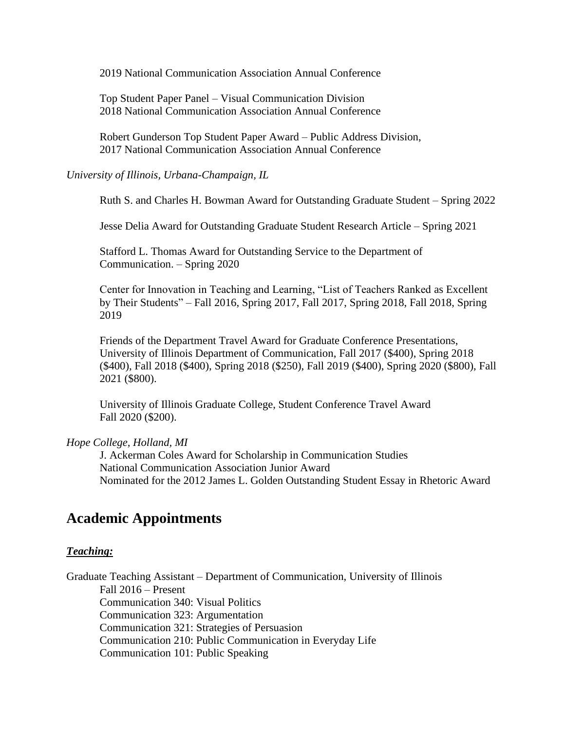2019 National Communication Association Annual Conference

Top Student Paper Panel – Visual Communication Division 2018 National Communication Association Annual Conference

Robert Gunderson Top Student Paper Award – Public Address Division, 2017 National Communication Association Annual Conference

*University of Illinois, Urbana-Champaign, IL*

Ruth S. and Charles H. Bowman Award for Outstanding Graduate Student – Spring 2022

Jesse Delia Award for Outstanding Graduate Student Research Article – Spring 2021

Stafford L. Thomas Award for Outstanding Service to the Department of Communication. – Spring 2020

Center for Innovation in Teaching and Learning, "List of Teachers Ranked as Excellent by Their Students" – Fall 2016, Spring 2017, Fall 2017, Spring 2018, Fall 2018, Spring 2019

Friends of the Department Travel Award for Graduate Conference Presentations, University of Illinois Department of Communication, Fall 2017 (\$400), Spring 2018 (\$400), Fall 2018 (\$400), Spring 2018 (\$250), Fall 2019 (\$400), Spring 2020 (\$800), Fall 2021 (\$800).

University of Illinois Graduate College, Student Conference Travel Award Fall 2020 (\$200).

#### *Hope College, Holland, MI*

J. Ackerman Coles Award for Scholarship in Communication Studies National Communication Association Junior Award Nominated for the 2012 James L. Golden Outstanding Student Essay in Rhetoric Award

### **Academic Appointments**

#### *Teaching:*

Graduate Teaching Assistant – Department of Communication, University of Illinois Fall 2016 – Present Communication 340: Visual Politics Communication 323: Argumentation Communication 321: Strategies of Persuasion Communication 210: Public Communication in Everyday Life Communication 101: Public Speaking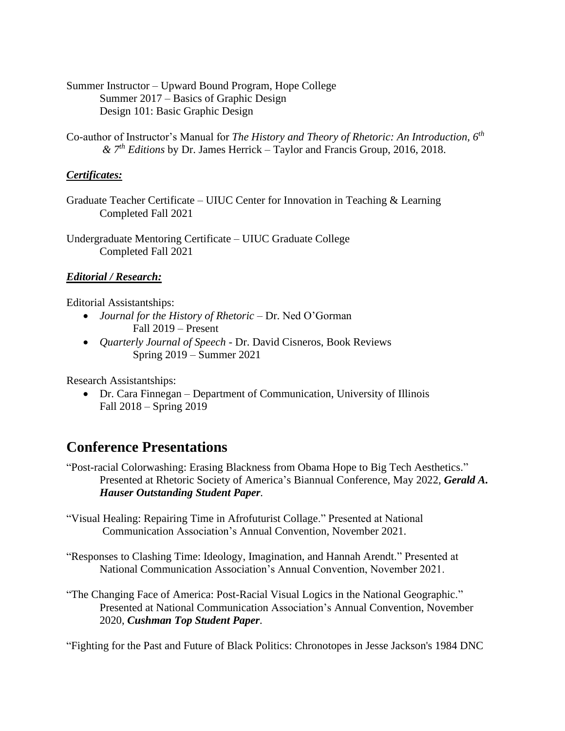Summer Instructor – Upward Bound Program, Hope College Summer 2017 – Basics of Graphic Design Design 101: Basic Graphic Design

Co-author of Instructor's Manual for *The History and Theory of Rhetoric: An Introduction, 6th & 7th Editions* by Dr. James Herrick – Taylor and Francis Group, 2016, 2018.

#### *Certificates:*

Graduate Teacher Certificate – UIUC Center for Innovation in Teaching & Learning Completed Fall 2021

Undergraduate Mentoring Certificate – UIUC Graduate College Completed Fall 2021

### *Editorial / Research:*

Editorial Assistantships:

- *Journal for the History of Rhetoric –* Dr. Ned O'Gorman Fall 2019 – Present
- *Quarterly Journal of Speech -* Dr. David Cisneros, Book Reviews Spring 2019 – Summer 2021

Research Assistantships:

• Dr. Cara Finnegan – Department of Communication, University of Illinois Fall 2018 – Spring 2019

## **Conference Presentations**

"Post-racial Colorwashing: Erasing Blackness from Obama Hope to Big Tech Aesthetics." Presented at Rhetoric Society of America's Biannual Conference, May 2022, *Gerald A. Hauser Outstanding Student Paper.* 

- "Visual Healing: Repairing Time in Afrofuturist Collage." Presented at National Communication Association's Annual Convention, November 2021.
- "Responses to Clashing Time: Ideology, Imagination, and Hannah Arendt." Presented at National Communication Association's Annual Convention, November 2021.
- "The Changing Face of America: Post-Racial Visual Logics in the National Geographic." Presented at National Communication Association's Annual Convention, November 2020, *Cushman Top Student Paper.*

"Fighting for the Past and Future of Black Politics: Chronotopes in Jesse Jackson's 1984 DNC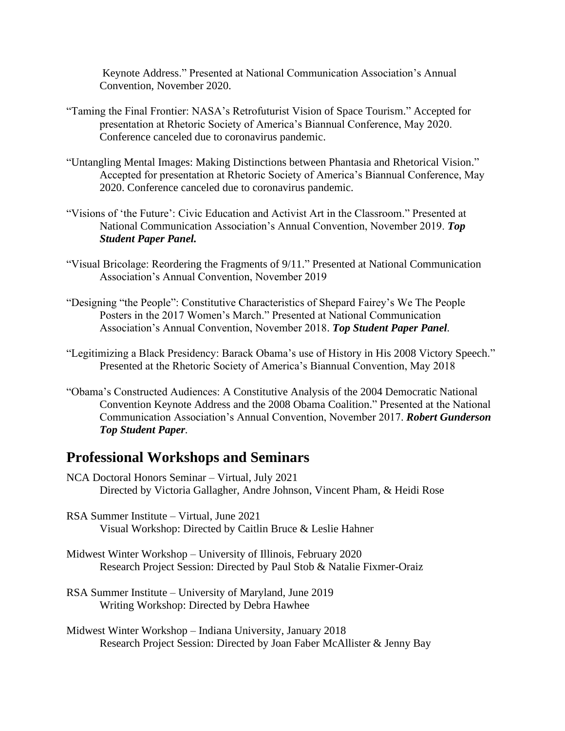Keynote Address." Presented at National Communication Association's Annual Convention, November 2020.

- "Taming the Final Frontier: NASA's Retrofuturist Vision of Space Tourism." Accepted for presentation at Rhetoric Society of America's Biannual Conference, May 2020. Conference canceled due to coronavirus pandemic.
- "Untangling Mental Images: Making Distinctions between Phantasia and Rhetorical Vision." Accepted for presentation at Rhetoric Society of America's Biannual Conference, May 2020. Conference canceled due to coronavirus pandemic.
- "Visions of 'the Future': Civic Education and Activist Art in the Classroom." Presented at National Communication Association's Annual Convention, November 2019. *Top Student Paper Panel.*
- "Visual Bricolage: Reordering the Fragments of 9/11." Presented at National Communication Association's Annual Convention, November 2019
- "Designing "the People": Constitutive Characteristics of Shepard Fairey's We The People Posters in the 2017 Women's March." Presented at National Communication Association's Annual Convention, November 2018. *Top Student Paper Panel.*
- "Legitimizing a Black Presidency: Barack Obama's use of History in His 2008 Victory Speech." Presented at the Rhetoric Society of America's Biannual Convention, May 2018
- "Obama's Constructed Audiences: A Constitutive Analysis of the 2004 Democratic National Convention Keynote Address and the 2008 Obama Coalition." Presented at the National Communication Association's Annual Convention, November 2017. *Robert Gunderson Top Student Paper.*

### **Professional Workshops and Seminars**

- NCA Doctoral Honors Seminar Virtual, July 2021 Directed by Victoria Gallagher, Andre Johnson, Vincent Pham, & Heidi Rose
- RSA Summer Institute Virtual, June 2021 Visual Workshop: Directed by Caitlin Bruce & Leslie Hahner
- Midwest Winter Workshop University of Illinois, February 2020 Research Project Session: Directed by Paul Stob & Natalie Fixmer-Oraiz
- RSA Summer Institute University of Maryland, June 2019 Writing Workshop: Directed by Debra Hawhee
- Midwest Winter Workshop Indiana University, January 2018 Research Project Session: Directed by Joan Faber McAllister & Jenny Bay